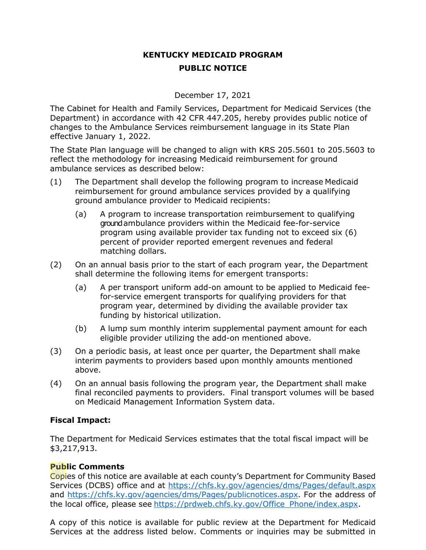## **KENTUCKY MEDICAID PROGRAM PUBLIC NOTICE**

December 17, 2021

The Cabinet for Health and Family Services, Department for Medicaid Services (the Department) in accordance with 42 CFR 447.205, hereby provides public notice of changes to the Ambulance Services reimbursement language in its State Plan effective January 1, 2022.

The State Plan language will be changed to align with KRS 205.5601 to 205.5603 to reflect the methodology for increasing Medicaid reimbursement for ground ambulance services as described below:

- (1) The Department shall develop the following program to increase Medicaid reimbursement for ground ambulance services provided by a qualifying ground ambulance provider to Medicaid recipients:
	- (a) A program to increase transportation reimbursement to qualifying ground ambulance providers within the Medicaid fee-for-service program using available provider tax funding not to exceed six (6) percent of provider reported emergent revenues and federal matching dollars.
- (2) On an annual basis prior to the start of each program year, the Department shall determine the following items for emergent transports:
	- (a) A per transport uniform add-on amount to be applied to Medicaid feefor-service emergent transports for qualifying providers for that program year, determined by dividing the available provider tax funding by historical utilization.
	- (b) A lump sum monthly interim supplemental payment amount for each eligible provider utilizing the add-on mentioned above.
- (3) On a periodic basis, at least once per quarter, the Department shall make interim payments to providers based upon monthly amounts mentioned above.
- (4) On an annual basis following the program year, the Department shall make final reconciled payments to providers. Final transport volumes will be based on Medicaid Management Information System data.

## **Fiscal Impact:**

The Department for Medicaid Services estimates that the total fiscal impact will be \$3,217,913.

## **Public Comments**

Copies of this notice are available at each county's Department for Community Based Services (DCBS) office and at<https://chfs.ky.gov/agencies/dms/Pages/default.aspx> and [https://chfs.ky.gov/agencies/dms/Pages/publicnotices.aspx.](https://chfs.ky.gov/agencies/dms/Pages/publicnotices.aspx) For the address of the local office, please see [https://prdweb.chfs.ky.gov/Office\\_Phone/index.aspx.](https://prdweb.chfs.ky.gov/Office_Phone/index.aspx)

A copy of this notice is available for public review at the Department for Medicaid Services at the address listed below. Comments or inquiries may be submitted in